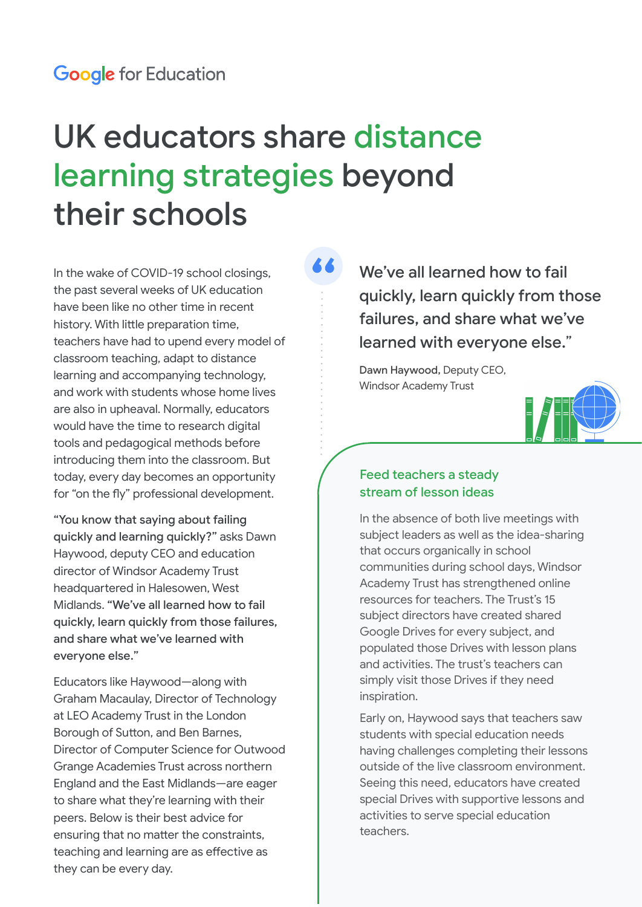# UK educators share distance learning strategies beyond their schools

In the wake of COVID-19 school closings, the past several weeks of UK education have been like no other time in recent history. With little preparation time, teachers have had to upend every model of classroom teaching, adapt to distance learning and accompanying technology, and work with students whose home lives are also in upheaval. Normally, educators would have the time to research digital tools and pedagogical methods before introducing them into the classroom. But today, every day becomes an opportunity for "on the fly" professional development.

"You know that saying about failing quickly and learning quickly?" asks Dawn Haywood, deputy CEO and education director of Windsor Academy Trust headquartered in Halesowen, West Midlands. "We've all learned how to fail quickly, learn quickly from those failures, and share what we've learned with everyone else."

Educators like Haywood—along with Graham Macaulay, Director of Technology at LEO Academy Trust in the London Borough of Sutton, and Ben Barnes, Director of Computer Science for Outwood Grange Academies Trust across northern England and the East Midlands—are eager to share what they're learning with their peers. Below is their best advice for ensuring that no matter the constraints, teaching and learning are as effective as they can be every day.

We've all learned how to fail quickly, learn quickly from those failures, and share what we've learned with everyone else."

Dawn Haywood, Deputy CEO, Windsor Academy Trust



### Feed teachers a steady stream of lesson ideas

In the absence of both live meetings with subject leaders as well as the idea-sharing that occurs organically in school communities during school days, Windsor Academy Trust has strengthened online resources for teachers. The Trust's 15 subject directors have created shared Google Drives for every subject, and populated those Drives with lesson plans and activities. The trust's teachers can simply visit those Drives if they need inspiration.

Early on, Haywood says that teachers saw students with special education needs having challenges completing their lessons outside of the live classroom environment. Seeing this need, educators have created special Drives with supportive lessons and activities to serve special education teachers.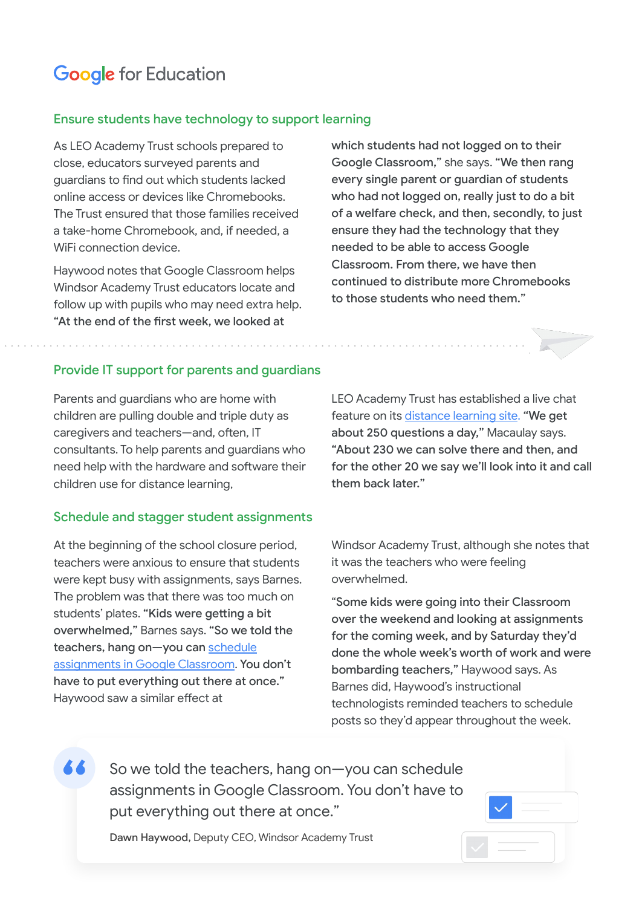# **Google** for Education

### Ensure students have technology to support learning

As LEO Academy Trust schools prepared to close, educators surveyed parents and guardians to find out which students lacked online access or devices like Chromebooks. The Trust ensured that those families received a take-home Chromebook, and, if needed, a WiFi connection device.

Haywood notes that Google Classroom helps Windsor Academy Trust educators locate and follow up with pupils who may need extra help. "At the end of the first week, we looked at

which students had not logged on to their Google Classroom," she says. "We then rang every single parent or guardian of students who had not logged on, really just to do a bit of a welfare check, and then, secondly, to just ensure they had the technology that they needed to be able to access Google Classroom. From there, we have then continued to distribute more Chromebooks to those students who need them."

#### Provide IT support for parents and guardians

Parents and guardians who are home with children are pulling double and triple duty as caregivers and teachers—and, often, IT consultants. To help parents and guardians who need help with the hardware and software their children use for distance learning,

#### Schedule and stagger student assignments

At the beginning of the school closure period, teachers were anxious to ensure that students were kept busy with assignments, says Barnes. The problem was that there was too much on students' plates. "Kids were getting a bit overwhelmed," Barnes says. "So we told the teachers, hang on-you can [schedule](https://support.google.com/edu/classroom/answer/6020270?co=GENIE.Platform%3DDesktop&hl=en) [assignments in Google Classroom.](https://support.google.com/edu/classroom/answer/6020270?co=GENIE.Platform%3DDesktop&hl=en) You don't have to put everything out there at once." Haywood saw a similar effect at

LEO Academy Trust has established a live chat feature on its [distance learning site](https://sites.google.com/leoacademytrust.co.uk/leo-distance-learning/home/live-chat?authuser=0). "We get about 250 questions a day," Macaulay says. "About 230 we can solve there and then, and for the other 20 we say we'll look into it and call them back later."

Windsor Academy Trust, although she notes that it was the teachers who were feeling overwhelmed.

"Some kids were going into their Classroom over the weekend and looking at assignments for the coming week, and by Saturday they'd done the whole week's worth of work and were bombarding teachers," Haywood says. As Barnes did, Haywood's instructional technologists reminded teachers to schedule posts so they'd appear throughout the week.

So we told the teachers, hang on—you can schedule assignments in Google Classroom. You don't have to put everything out there at once."

Dawn Haywood, Deputy CEO, Windsor Academy Trust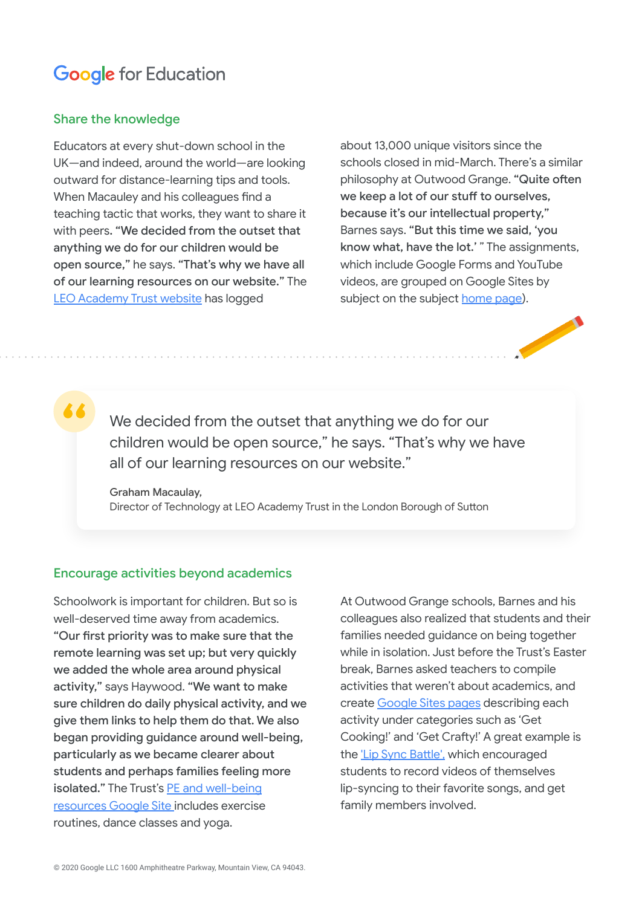# **Google** for Education

### Share the knowledge

Educators at every shut-down school in the UK—and indeed, around the world—are looking outward for distance-learning tips and tools. When Macauley and his colleagues find a teaching tactic that works, they want to share it with peers. "We decided from the outset that anything we do for our children would be open source," he says. "That's why we have all of our learning resources on our website." The [LEO Academy Trust website](http://leodistancelearning.co.uk) has logged

about 13,000 unique visitors since the schools closed in mid-March. There's a similar philosophy at Outwood Grange. "Quite often we keep a lot of our stuff to ourselves, because it's our intellectual property," Barnes says. "But this time we said, 'you know what, have the lot.' " The assignments, which include Google Forms and YouTube videos, are grouped on Google Sites by subject on the subject [home page](https://teaching.homelearning.outwood.com/home)).

We decided from the outset that anything we do for our children would be open source," he says. "That's why we have all of our learning resources on our website."

Graham Macaulay,

Director of Technology at LEO Academy Trust in the London Borough of Sutton

### Encourage activities beyond academics

Schoolwork is important for children. But so is well-deserved time away from academics. "Our first priority was to make sure that the remote learning was set up; but very quickly we added the whole area around physical activity," says Haywood. "We want to make sure children do daily physical activity, and we give them links to help them do that. We also began providing guidance around well-being, particularly as we became clearer about students and perhaps families feeling more isolated." The Trust's [PE and well-being](https://sites.google.com/windsor.windsoracademytrust.org.uk/student-and-parent-guidance/exercise?authuser=0) [resources Google Site](https://sites.google.com/windsor.windsoracademytrust.org.uk/student-and-parent-guidance/exercise?authuser=0) includes exercise routines, dance classes and yoga.

At Outwood Grange schools, Barnes and his colleagues also realized that students and their families needed guidance on being together while in isolation. Just before the Trust's Easter break, Barnes asked teachers to compile activities that weren't about academics, and create [Google Sites pages](https://activities.homelearning.outwood.com/) describing each activity under categories such as 'Get Cooking!' and 'Get Crafty!' A great example is the ['Lip Sync Battle'](https://activities.homelearning.outwood.com/get-connected/lip-sync-battle), which encouraged students to record videos of themselves lip-syncing to their favorite songs, and get family members involved.